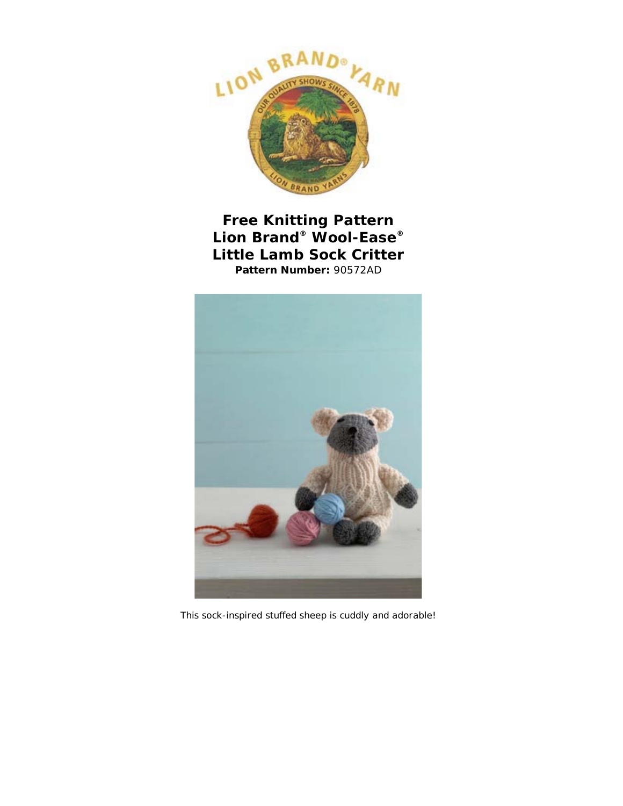

**Free Knitting Pattern Lion Brand® Wool-Ease® Little Lamb Sock Critter Pattern Number:** 90572AD



This sock-inspired stuffed sheep is cuddly and adorable!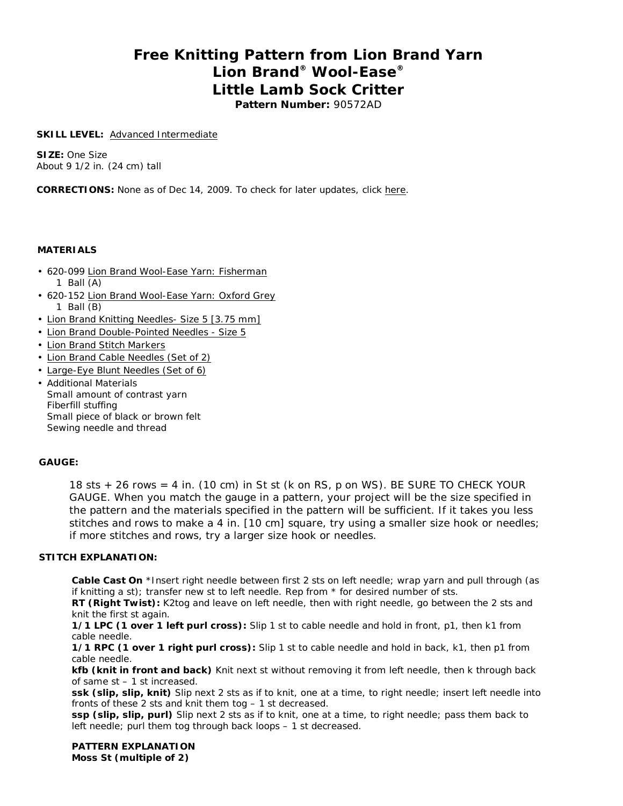# **Free Knitting Pattern from Lion Brand Yarn Lion Brand® Wool-Ease® Little Lamb Sock Critter Pattern Number:** 90572AD

#### **SKILL LEVEL: Advanced Intermediate**

**SIZE:** One Size About 9 1/2 in. (24 cm) tall

**CORRECTIONS:** None as of Dec 14, 2009. To check for later updates, click here.

#### **MATERIALS**

- 620-099 Lion Brand Wool-Ease Yarn: Fisherman 1 Ball (A)
- 620-152 Lion Brand Wool-Ease Yarn: Oxford Grey 1 Ball (B)
- Lion Brand Knitting Needles- Size 5 [3.75 mm]
- Lion Brand Double-Pointed Needles Size 5
- Lion Brand Stitch Markers
- Lion Brand Cable Needles (Set of 2)
- Large-Eye Blunt Needles (Set of 6)
- Additional Materials Small amount of contrast yarn Fiberfill stuffing Small piece of black or brown felt Sewing needle and thread

## **GAUGE:**

18 sts + 26 rows = 4 in. (10 cm) in St st (k on RS, p on WS). BE SURE TO CHECK YOUR GAUGE. When you match the gauge in a pattern, your project will be the size specified in the pattern and the materials specified in the pattern will be sufficient. If it takes you less stitches and rows to make a 4 in. [10 cm] square, try using a smaller size hook or needles; if more stitches and rows, try a larger size hook or needles.

## **STITCH EXPLANATION:**

**Cable Cast On** \*Insert right needle between first 2 sts on left needle; wrap yarn and pull through (as if knitting a st); transfer new st to left needle. Rep from \* for desired number of sts.

**RT (Right Twist):** K2tog and leave on left needle, then with right needle, go between the 2 sts and knit the first st again.

**1/1 LPC (1 over 1 left purl cross):** Slip 1 st to cable needle and hold in front, p1, then k1 from cable needle.

**1/1 RPC (1 over 1 right purl cross):** Slip 1 st to cable needle and hold in back, k1, then p1 from cable needle.

**kfb (knit in front and back)** Knit next st without removing it from left needle, then k through back of same st – 1 st increased.

**ssk (slip, slip, knit)** Slip next 2 sts as if to knit, one at a time, to right needle; insert left needle into fronts of these 2 sts and knit them tog – 1 st decreased.

**ssp (slip, slip, purl)** Slip next 2 sts as if to knit, one at a time, to right needle; pass them back to left needle; purl them tog through back loops – 1 st decreased.

**PATTERN EXPLANATION Moss St (multiple of 2)**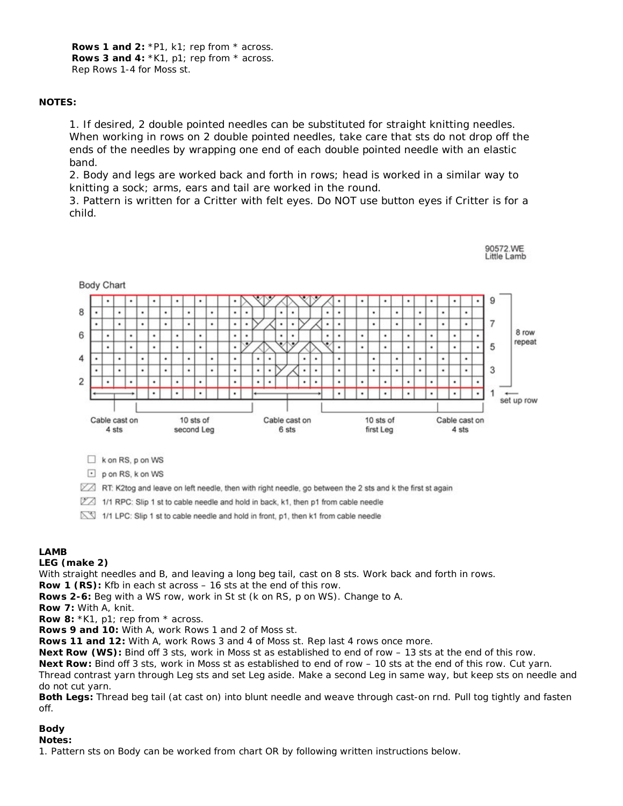Rows 1 and 2: \*P1, k1; rep from \* across. **Rows 3 and 4:** \*K1, p1; rep from \* across. Rep Rows 1-4 for Moss st.

## **NOTES:**

1. If desired, 2 double pointed needles can be substituted for straight knitting needles. When working in rows on 2 double pointed needles, take care that sts do not drop off the ends of the needles by wrapping one end of each double pointed needle with an elastic band.

2. Body and legs are worked back and forth in rows; head is worked in a similar way to knitting a sock; arms, ears and tail are worked in the round.

3. Pattern is written for a Critter with felt eyes. Do NOT use button eyes if Critter is for a child.

90572.WE



 $\Box$  k on RS, p on WS

 $\Box$  p on RS, k on WS

RT: K2tog and leave on left needle, then with right needle, go between the 2 sts and k the first st again

1/1 RPC: Slip 1 st to cable needle and hold in back, k1, then p1 from cable needle

1/1 LPC: Slip 1 st to cable needle and hold in front, p1, then k1 from cable needle

## **LAMB**

## **LEG (make 2)**

With straight needles and B, and leaving a long beg tail, cast on 8 sts. Work back and forth in rows.

**Row 1 (RS):** Kfb in each st across – 16 sts at the end of this row.

**Rows 2-6:** Beg with a WS row, work in St st (k on RS, p on WS). Change to A.

**Row 7:** With A, knit.

**Row 8:** \*K1, p1; rep from \* across.

**Rows 9 and 10:** With A, work Rows 1 and 2 of Moss st.

**Rows 11 and 12:** With A, work Rows 3 and 4 of Moss st. Rep last 4 rows once more.

**Next Row (WS):** Bind off 3 sts, work in Moss st as established to end of row – 13 sts at the end of this row.

**Next Row:** Bind off 3 sts, work in Moss st as established to end of row – 10 sts at the end of this row. Cut yarn. Thread contrast yarn through Leg sts and set Leg aside. Make a second Leg in same way, but keep sts on needle and do not cut yarn.

**Both Legs:** Thread beg tail (at cast on) into blunt needle and weave through cast-on rnd. Pull tog tightly and fasten off.

## **Body**

## **Notes:**

1. Pattern sts on Body can be worked from chart OR by following written instructions below.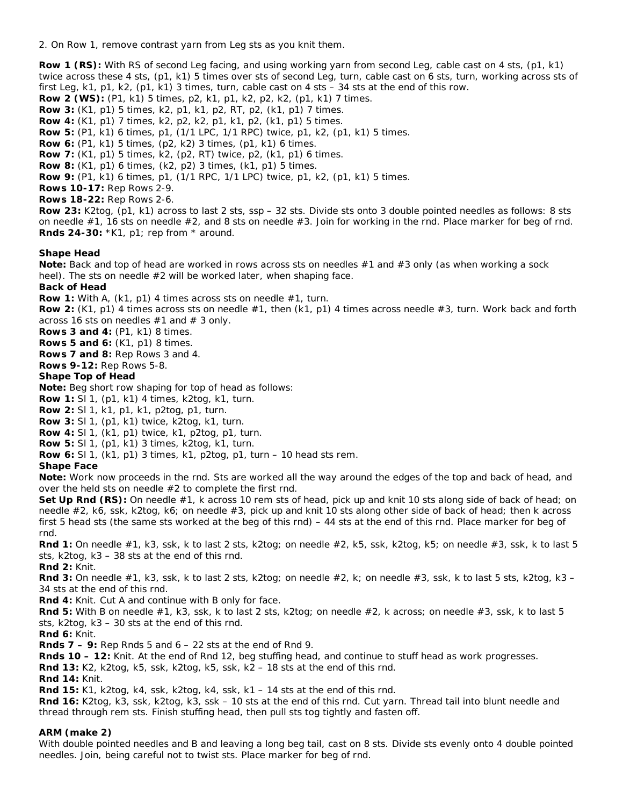2. On Row 1, remove contrast yarn from Leg sts as you knit them.

**Row 1 (RS):** With RS of second Leg facing, and using working yarn from second Leg, cable cast on 4 sts, (p1, k1) twice across these 4 sts, (p1, k1) 5 times over sts of second Leg, turn, cable cast on 6 sts, turn, working across sts of first Leg, k1, p1, k2,  $(p1, k1)$  3 times, turn, cable cast on 4 sts  $-34$  sts at the end of this row.

**Row 2 (WS):** (P1, k1) 5 times, p2, k1, p1, k2, p2, k2, (p1, k1) 7 times.

**Row 3:** (K1, p1) 5 times, k2, p1, k1, p2, RT, p2, (k1, p1) 7 times.

**Row 4:** (K1, p1) 7 times, k2, p2, k2, p1, k1, p2, (k1, p1) 5 times.

**Row 5:** (P1, k1) 6 times, p1, (1/1 LPC, 1/1 RPC) twice, p1, k2, (p1, k1) 5 times.

**Row 6:** (P1, k1) 5 times, (p2, k2) 3 times, (p1, k1) 6 times.

**Row 7:** (K1, p1) 5 times, k2, (p2, RT) twice, p2, (k1, p1) 6 times.

**Row 8:** (K1, p1) 6 times, (k2, p2) 3 times, (k1, p1) 5 times.

**Row 9:** (P1, k1) 6 times, p1, (1/1 RPC, 1/1 LPC) twice, p1, k2, (p1, k1) 5 times.

**Rows 10-17:** Rep Rows 2-9.

**Rows 18-22:** Rep Rows 2-6.

**Row 23:** K2tog, (p1, k1) across to last 2 sts, ssp – 32 sts. Divide sts onto 3 double pointed needles as follows: 8 sts on needle  $#1$ , 16 sts on needle  $#2$ , and 8 sts on needle  $#3$ . Join for working in the rnd. Place marker for beg of rnd. **Rnds 24-30:** \*K1, p1; rep from \* around.

#### **Shape Head**

**Note:** Back and top of head are worked in rows across sts on needles #1 and #3 only (as when working a sock heel). The sts on needle #2 will be worked later, when shaping face.

#### **Back of Head**

**Row 1:** With A, (k1, p1) 4 times across sts on needle #1, turn.

**Row 2:** (K1, p1) 4 times across sts on needle #1, then (k1, p1) 4 times across needle #3, turn. Work back and forth across 16 sts on needles  $#1$  and  $#3$  only.

**Rows 3 and 4:** (P1, k1) 8 times.

**Rows 5 and 6:** (K1, p1) 8 times.

**Rows 7 and 8:** Rep Rows 3 and 4.

**Rows 9-12:** Rep Rows 5-8.

#### **Shape Top of Head**

**Note:** Beg short row shaping for top of head as follows:

**Row 1:** Sl 1, (p1, k1) 4 times, k2tog, k1, turn.

**Row 2:** Sl 1, k1, p1, k1, p2tog, p1, turn.

**Row 3:** Sl 1, (p1, k1) twice, k2tog, k1, turn.

**Row 4:** Sl 1, (k1, p1) twice, k1, p2tog, p1, turn.

**Row 5:** Sl 1, (p1, k1) 3 times, k2tog, k1, turn.

**Row 6:** Sl 1, (k1, p1) 3 times, k1, p2tog, p1, turn – 10 head sts rem.

**Shape Face**

**Note:** Work now proceeds in the rnd. Sts are worked all the way around the edges of the top and back of head, and over the held sts on needle #2 to complete the first rnd.

**Set Up Rnd (RS):** On needle #1, k across 10 rem sts of head, pick up and knit 10 sts along side of back of head; on needle #2, k6, ssk, k2tog, k6; on needle #3, pick up and knit 10 sts along other side of back of head; then k across first 5 head sts (the same sts worked at the beg of this rnd) – 44 sts at the end of this rnd. Place marker for beg of rnd.

**Rnd 1:** On needle #1, k3, ssk, k to last 2 sts, k2tog; on needle #2, k5, ssk, k2tog, k5; on needle #3, ssk, k to last 5 sts, k2tog, k3 – 38 sts at the end of this rnd.

**Rnd 2:** Knit.

**Rnd 3:** On needle #1, k3, ssk, k to last 2 sts, k2tog; on needle #2, k; on needle #3, ssk, k to last 5 sts, k2tog, k3 – 34 sts at the end of this rnd.

**Rnd 4:** Knit. Cut A and continue with B only for face.

**Rnd 5:** With B on needle #1, k3, ssk, k to last 2 sts, k2tog; on needle #2, k across; on needle #3, ssk, k to last 5 sts, k2tog, k3 – 30 sts at the end of this rnd.

**Rnd 6:** Knit.

**Rnds 7 – 9:** Rep Rnds 5 and 6 – 22 sts at the end of Rnd 9.

**Rnds 10 – 12:** Knit. At the end of Rnd 12, beg stuffing head, and continue to stuff head as work progresses.

**Rnd 13:** K2, k2tog, k5, ssk, k2tog, k5, ssk, k2 – 18 sts at the end of this rnd.

**Rnd 14:** Knit.

**Rnd 15:** K1, k2tog, k4, ssk, k2tog, k4, ssk, k1 – 14 sts at the end of this rnd.

**Rnd 16:** K2tog, k3, ssk, k2tog, k3, ssk – 10 sts at the end of this rnd. Cut yarn. Thread tail into blunt needle and thread through rem sts. Finish stuffing head, then pull sts tog tightly and fasten off.

## **ARM (make 2)**

With double pointed needles and B and leaving a long beg tail, cast on 8 sts. Divide sts evenly onto 4 double pointed needles. Join, being careful not to twist sts. Place marker for beg of rnd.